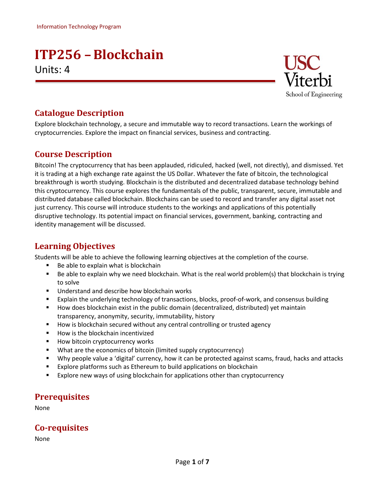# **ITP256 –Blockchain** Units: 4



## **Catalogue Description**

Explore blockchain technology, a secure and immutable way to record transactions. Learn the workings of cryptocurrencies. Explore the impact on financial services, business and contracting.

## **Course Description**

Bitcoin! The cryptocurrency that has been applauded, ridiculed, hacked (well, not directly), and dismissed. Yet it is trading at a high exchange rate against the US Dollar. Whatever the fate of bitcoin, the technological breakthrough is worth studying. Blockchain is the distributed and decentralized database technology behind this cryptocurrency. This course explores the fundamentals of the public, transparent, secure, immutable and distributed database called blockchain. Blockchains can be used to record and transfer any digital asset not just currency. This course will introduce students to the workings and applications of this potentially disruptive technology. Its potential impact on financial services, government, banking, contracting and identity management will be discussed.

## **Learning Objectives**

Students will be able to achieve the following learning objectives at the completion of the course.

- Be able to explain what is blockchain
- Be able to explain why we need blockchain. What is the real world problem(s) that blockchain is trying to solve
- Understand and describe how blockchain works
- Explain the underlying technology of transactions, blocks, proof-of-work, and consensus building
- How does blockchain exist in the public domain (decentralized, distributed) yet maintain transparency, anonymity, security, immutability, history
- How is blockchain secured without any central controlling or trusted agency
- How is the blockchain incentivized
- How bitcoin cryptocurrency works
- What are the economics of bitcoin (limited supply cryptocurrency)
- Why people value a 'digital' currency, how it can be protected against scams, fraud, hacks and attacks
- Explore platforms such as Ethereum to build applications on blockchain
- Explore new ways of using blockchain for applications other than cryptocurrency

### **Prerequisites**

None

## **Co-requisites**

None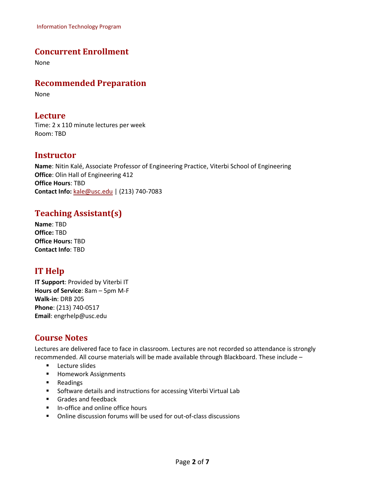Information Technology Program

### **Concurrent Enrollment**

None

#### **Recommended Preparation**

None

#### **Lecture**

Time: 2 x 110 minute lectures per week Room: TBD

#### **Instructor**

**Name**: Nitin Kalé, Associate Professor of Engineering Practice, Viterbi School of Engineering **Office**: Olin Hall of Engineering 412 **Office Hours**: TBD **Contact Info:** [kale@usc.edu](mailto:kale@usc.edu) | (213) 740-7083

## **Teaching Assistant(s)**

**Name**: TBD **Office:** TBD **Office Hours:** TBD **Contact Info**: TBD

## **IT Help**

**IT Support**: Provided by Viterbi IT **Hours of Service**: 8am – 5pm M-F **Walk-in**: DRB 205 **Phone**: (213) 740-0517 **Email**: [engrhelp@usc.edu](mailto:engrhelp@usc.edu)

## **Course Notes**

Lectures are delivered face to face in classroom. Lectures are not recorded so attendance is strongly recommended. All course materials will be made available through Blackboard. These include –

- Lecture slides
- Homework Assignments
- Readings
- Software details and instructions for accessing Viterbi Virtual Lab
- Grades and feedback
- In-office and online office hours
- Online discussion forums will be used for out-of-class discussions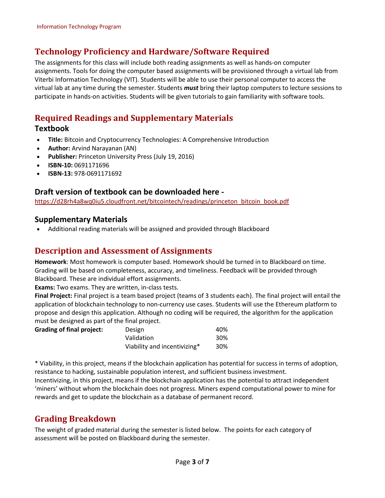## **Technology Proficiency and Hardware/Software Required**

The assignments for this class will include both reading assignments as well as hands-on computer assignments. Tools for doing the computer based assignments will be provisioned through a virtual lab from Viterbi Information Technology (VIT). Students will be able to use their personal computer to access the virtual lab at any time during the semester. Students *must* bring their laptop computers to lecture sessions to participate in hands-on activities. Students will be given tutorials to gain familiarity with software tools.

## **Required Readings and Supplementary Materials**

#### **Textbook**

- **Title:** Bitcoin and Cryptocurrency Technologies: A Comprehensive Introduction
- **Author:** Arvind Narayanan (AN)
- **Publisher:** Princeton University Press (July 19, 2016)
- **ISBN-10:** 0691171696
- **ISBN-13:** 978-0691171692

#### **Draft version of textbook can be downloaded here -**

[https://d28rh4a8wq0iu5.cloudfront.net/bitcointech/readings/princeton\\_bitcoin\\_book.pdf](https://d28rh4a8wq0iu5.cloudfront.net/bitcointech/readings/princeton_bitcoin_book.pdf)

#### • **Supplementary Materials**

• Additional reading materials will be assigned and provided through Blackboard

#### **Description and Assessment of Assignments**

**Homework**: Most homework is computer based. Homework should be turned in to Blackboard on time. Grading will be based on completeness, accuracy, and timeliness. Feedback will be provided through Blackboard. These are individual effort assignments.

**Exams:** Two exams. They are written, in-class tests.

**Final Project:** Final project is a team based project (teams of 3 students each). The final project will entail the application of blockchain technology to non-currency use cases. Students will use the Ethereum platform to propose and design this application. Although no coding will be required, the algorithm for the application must be designed as part of the final project.

#### **Grading of final project:** D

| Design                       | 40% |
|------------------------------|-----|
| Validation                   | 30% |
| Viability and incentivizing* | 30% |

\* Viability, in this project, means if the blockchain application has potential for success in terms of adoption, resistance to hacking, sustainable population interest, and sufficient business investment.

Incentivizing, in this project, means if the blockchain application has the potential to attract independent 'miners' without whom the blockchain does not progress. Miners expend computational power to mine for rewards and get to update the blockchain as a database of permanent record.

### **Grading Breakdown**

The weight of graded material during the semester is listed below. The points for each category of assessment will be posted on Blackboard during the semester.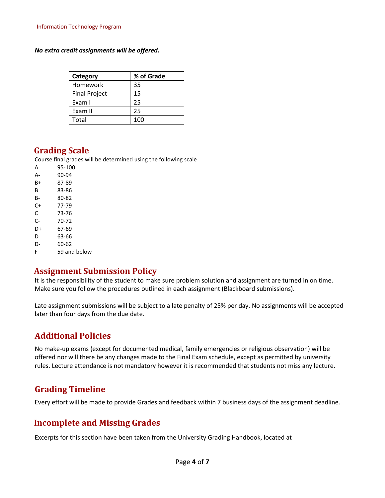*No extra credit assignments will be offered.*

| Category             | % of Grade |
|----------------------|------------|
| Homework             | 35         |
| <b>Final Project</b> | 15         |
| Exam I               | 25         |
| Exam II              | 25         |
| Total                | 100        |

#### **Grading Scale**

Course final grades will be determined using the following scale

| А  | 95-100       |
|----|--------------|
| А- | 90-94        |
| B+ | 87-89        |
| B  | 83-86        |
| B- | 80-82        |
| C+ | 77-79        |
| C  | 73-76        |
| C- | 70-72        |
| D+ | 67-69        |
| D  | 63-66        |
| D- | 60-62        |
| F  | 59 and below |
|    |              |

#### **Assignment Submission Policy**

It is the responsibility of the student to make sure problem solution and assignment are turned in on time. Make sure you follow the procedures outlined in each assignment (Blackboard submissions).

Late assignment submissions will be subject to a late penalty of 25% per day. No assignments will be accepted later than four days from the due date.

### **Additional Policies**

No make-up exams (except for documented medical, family emergencies or religious observation) will be offered nor will there be any changes made to the Final Exam schedule, except as permitted by university rules. Lecture attendance is not mandatory however it is recommended that students not miss any lecture.

### **Grading Timeline**

Every effort will be made to provide Grades and feedback within 7 business days of the assignment deadline.

### **Incomplete and Missing Grades**

Excerpts for this section have been taken from the University Grading Handbook, located at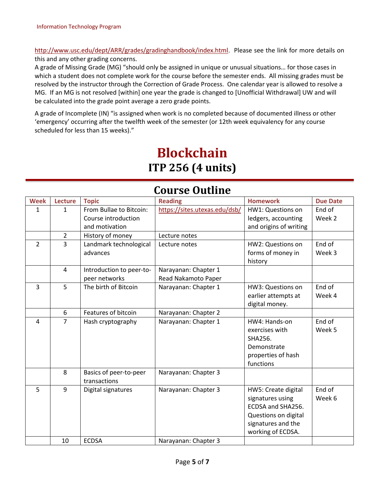[http://www.usc.edu/dept/ARR/grades/gradinghandbook/index.html.](http://www.usc.edu/dept/ARR/grades/gradinghandbook/index.html) Please see the link for more details on this and any other grading concerns.

A grade of Missing Grade (MG) "should only be assigned in unique or unusual situations… for those cases in which a student does not complete work for the course before the semester ends. All missing grades must be resolved by the instructor through the Correction of Grade Process. One calendar year is allowed to resolve a MG. If an MG is not resolved [within] one year the grade is changed to [Unofficial Withdrawal] UW and will be calculated into the grade point average a zero grade points.

A grade of Incomplete (IN) "is assigned when work is no completed because of documented illness or other 'emergency' occurring after the twelfth week of the semester (or 12th week equivalency for any course scheduled for less than 15 weeks)."

# **Blockchain ITP 256 (4 units)**

| Course Outline |                |                          |                               |                        |                 |
|----------------|----------------|--------------------------|-------------------------------|------------------------|-----------------|
| <b>Week</b>    | <b>Lecture</b> | <b>Topic</b>             | <b>Reading</b>                | <b>Homework</b>        | <b>Due Date</b> |
| $\mathbf{1}$   | $\mathbf{1}$   | From Bullae to Bitcoin:  | https://sites.utexas.edu/dsb/ | HW1: Questions on      | End of          |
|                |                | Course introduction      |                               | ledgers, accounting    | Week 2          |
|                |                | and motivation           |                               | and origins of writing |                 |
|                | $\overline{2}$ | History of money         | Lecture notes                 |                        |                 |
| $\overline{2}$ | $\overline{3}$ | Landmark technological   | Lecture notes                 | HW2: Questions on      | End of          |
|                |                | advances                 |                               | forms of money in      | Week 3          |
|                |                |                          |                               | history                |                 |
|                | 4              | Introduction to peer-to- | Narayanan: Chapter 1          |                        |                 |
|                |                | peer networks            | Read Nakamoto Paper           |                        |                 |
| 3              | 5              | The birth of Bitcoin     | Narayanan: Chapter 1          | HW3: Questions on      | End of          |
|                |                |                          |                               | earlier attempts at    | Week 4          |
|                |                |                          |                               | digital money.         |                 |
|                | 6              | Features of bitcoin      | Narayanan: Chapter 2          |                        |                 |
| $\overline{4}$ | $\overline{7}$ | Hash cryptography        | Narayanan: Chapter 1          | HW4: Hands-on          | End of          |
|                |                |                          |                               | exercises with         | Week 5          |
|                |                |                          |                               | SHA256.                |                 |
|                |                |                          |                               | Demonstrate            |                 |
|                |                |                          |                               | properties of hash     |                 |
|                |                |                          |                               | functions              |                 |
|                | 8              | Basics of peer-to-peer   | Narayanan: Chapter 3          |                        |                 |
|                |                | transactions             |                               |                        |                 |
| 5              | 9              | Digital signatures       | Narayanan: Chapter 3          | HW5: Create digital    | End of          |
|                |                |                          |                               | signatures using       | Week 6          |
|                |                |                          |                               | ECDSA and SHA256.      |                 |
|                |                |                          |                               | Questions on digital   |                 |
|                |                |                          |                               | signatures and the     |                 |
|                |                |                          |                               | working of ECDSA.      |                 |
|                | 10             | <b>ECDSA</b>             | Narayanan: Chapter 3          |                        |                 |

## **Course Outline**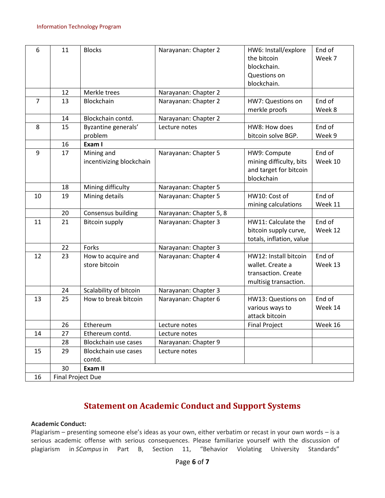| 6              | 11                | <b>Blocks</b>                          | Narayanan: Chapter 2    | HW6: Install/explore<br>the bitcoin<br>blockchain.<br>Questions on<br>blockchain.         | End of<br>Week 7  |
|----------------|-------------------|----------------------------------------|-------------------------|-------------------------------------------------------------------------------------------|-------------------|
|                | 12                | Merkle trees                           | Narayanan: Chapter 2    |                                                                                           |                   |
| $\overline{7}$ | 13                | Blockchain                             | Narayanan: Chapter 2    | HW7: Questions on<br>merkle proofs                                                        | End of<br>Week 8  |
|                | 14                | Blockchain contd.                      | Narayanan: Chapter 2    |                                                                                           |                   |
| 8              | 15                | Byzantine generals'<br>problem         | Lecture notes           | HW8: How does<br>bitcoin solve BGP.                                                       | End of<br>Week 9  |
|                | 16                | Exam I                                 |                         |                                                                                           |                   |
| 9              | 17                | Mining and<br>incentivizing blockchain | Narayanan: Chapter 5    | HW9: Compute<br>mining difficulty, bits<br>and target for bitcoin<br>blockchain           | End of<br>Week 10 |
|                | 18                | Mining difficulty                      | Narayanan: Chapter 5    |                                                                                           |                   |
| 10             | 19                | Mining details                         | Narayanan: Chapter 5    | HW10: Cost of<br>mining calculations                                                      | End of<br>Week 11 |
|                | 20                | Consensus building                     | Narayanan: Chapter 5, 8 |                                                                                           |                   |
| 11             | 21                | <b>Bitcoin supply</b>                  | Narayanan: Chapter 3    | HW11: Calculate the<br>bitcoin supply curve,<br>totals, inflation, value                  | End of<br>Week 12 |
|                | 22                | Forks                                  | Narayanan: Chapter 3    |                                                                                           |                   |
| 12             | 23                | How to acquire and<br>store bitcoin    | Narayanan: Chapter 4    | HW12: Install bitcoin<br>wallet. Create a<br>transaction. Create<br>multisig transaction. | End of<br>Week 13 |
|                | 24                | Scalability of bitcoin                 | Narayanan: Chapter 3    |                                                                                           |                   |
| 13             | 25                | How to break bitcoin                   | Narayanan: Chapter 6    | HW13: Questions on<br>various ways to<br>attack bitcoin                                   | End of<br>Week 14 |
|                | 26                | Ethereum                               | Lecture notes           | <b>Final Project</b>                                                                      | Week 16           |
| 14             | 27                | Ethereum contd.                        | Lecture notes           |                                                                                           |                   |
|                | 28                | Blockchain use cases                   | Narayanan: Chapter 9    |                                                                                           |                   |
| 15             | 29                | Blockchain use cases<br>contd.         | Lecture notes           |                                                                                           |                   |
|                | 30                | Exam II                                |                         |                                                                                           |                   |
| 16             | Final Project Due |                                        |                         |                                                                                           |                   |

## **Statement on Academic Conduct and Support Systems**

#### **Academic Conduct:**

Plagiarism – presenting someone else's ideas as your own, either verbatim or recast in your own words – is a serious academic offense with serious consequences. Please familiarize yourself with the discussion of plagiarism in *SCampus* in Part B, Section 11, "Behavior Violating University Standards"